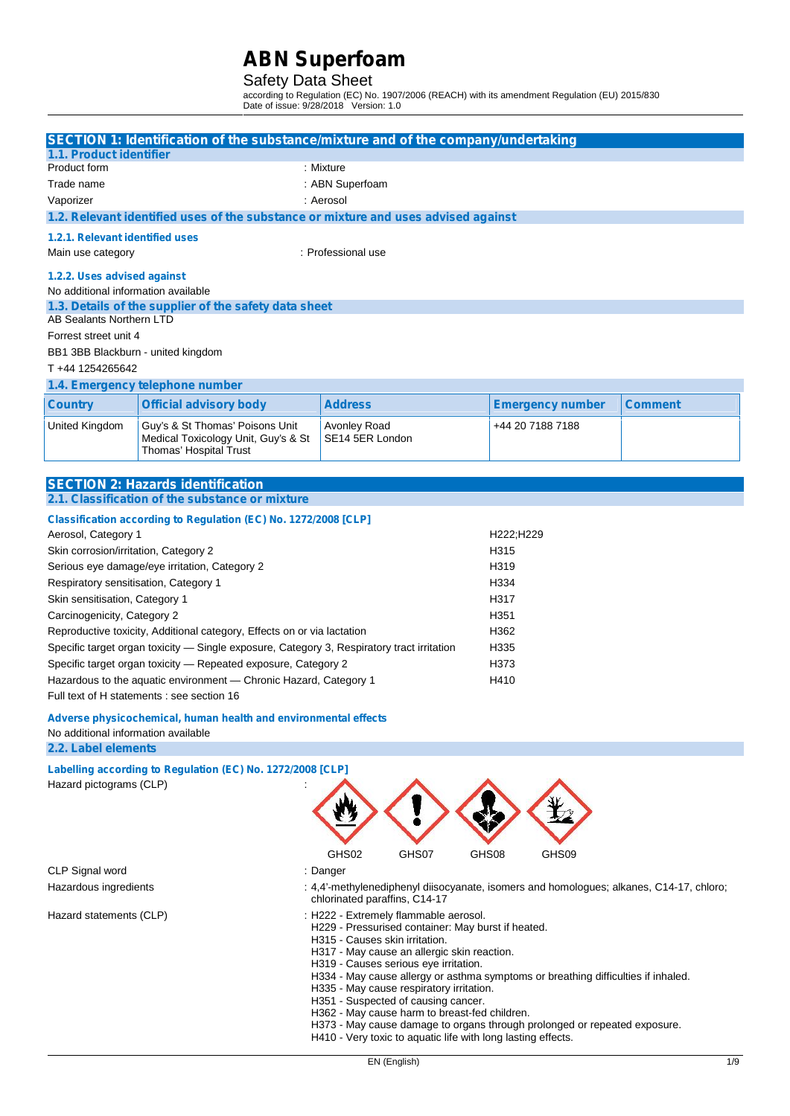### Safety Data Sheet

according to Regulation (EC) No. 1907/2006 (REACH) with its amendment Regulation (EU) 2015/830 Date of issue: 9/28/2018 Version: 1.0

|                                                                                                                                                                                                                                                  | SECTION 1: Identification of the substance/mixture and of the company/undertaking                |                                 |                         |                |  |
|--------------------------------------------------------------------------------------------------------------------------------------------------------------------------------------------------------------------------------------------------|--------------------------------------------------------------------------------------------------|---------------------------------|-------------------------|----------------|--|
| 1.1. Product identifier                                                                                                                                                                                                                          |                                                                                                  |                                 |                         |                |  |
| Product form                                                                                                                                                                                                                                     |                                                                                                  | : Mixture                       |                         |                |  |
| Trade name                                                                                                                                                                                                                                       |                                                                                                  | : ABN Superfoam                 |                         |                |  |
| Vaporizer                                                                                                                                                                                                                                        |                                                                                                  | : Aerosol                       |                         |                |  |
|                                                                                                                                                                                                                                                  | 1.2. Relevant identified uses of the substance or mixture and uses advised against               |                                 |                         |                |  |
| 1.2.1. Relevant identified uses                                                                                                                                                                                                                  |                                                                                                  |                                 |                         |                |  |
| Main use category                                                                                                                                                                                                                                |                                                                                                  | : Professional use              |                         |                |  |
| 1.2.2. Uses advised against                                                                                                                                                                                                                      |                                                                                                  |                                 |                         |                |  |
| No additional information available                                                                                                                                                                                                              |                                                                                                  |                                 |                         |                |  |
|                                                                                                                                                                                                                                                  | 1.3. Details of the supplier of the safety data sheet                                            |                                 |                         |                |  |
| AB Sealants Northern LTD                                                                                                                                                                                                                         |                                                                                                  |                                 |                         |                |  |
| Forrest street unit 4                                                                                                                                                                                                                            |                                                                                                  |                                 |                         |                |  |
| BB1 3BB Blackburn - united kingdom                                                                                                                                                                                                               |                                                                                                  |                                 |                         |                |  |
| T +44 1254265642                                                                                                                                                                                                                                 |                                                                                                  |                                 |                         |                |  |
|                                                                                                                                                                                                                                                  | 1.4. Emergency telephone number                                                                  |                                 |                         |                |  |
| <b>Country</b>                                                                                                                                                                                                                                   | <b>Official advisory body</b>                                                                    | <b>Address</b>                  | <b>Emergency number</b> | <b>Comment</b> |  |
| United Kingdom                                                                                                                                                                                                                                   | Guy's & St Thomas' Poisons Unit<br>Medical Toxicology Unit, Guy's & St<br>Thomas' Hospital Trust | Avonley Road<br>SE14 5ER London | +44 20 7188 7188        |                |  |
|                                                                                                                                                                                                                                                  |                                                                                                  |                                 |                         |                |  |
|                                                                                                                                                                                                                                                  | <b>SECTION 2: Hazards identification</b>                                                         |                                 |                         |                |  |
|                                                                                                                                                                                                                                                  | 2.1. Classification of the substance or mixture                                                  |                                 |                         |                |  |
|                                                                                                                                                                                                                                                  | Classification according to Regulation (EC) No. 1272/2008 [CLP]                                  |                                 |                         |                |  |
| Aerosol, Category 1                                                                                                                                                                                                                              |                                                                                                  |                                 | H222;H229               |                |  |
| Skin corrosion/irritation, Category 2                                                                                                                                                                                                            |                                                                                                  |                                 | H315                    |                |  |
|                                                                                                                                                                                                                                                  | Serious eye damage/eye irritation, Category 2                                                    |                                 | H319                    |                |  |
| Respiratory sensitisation, Category 1                                                                                                                                                                                                            |                                                                                                  |                                 | H334                    |                |  |
| Skin sensitisation, Category 1                                                                                                                                                                                                                   |                                                                                                  |                                 | H317                    |                |  |
| Carcinogenicity, Category 2                                                                                                                                                                                                                      |                                                                                                  |                                 | H351                    |                |  |
|                                                                                                                                                                                                                                                  | Reproductive toxicity, Additional category, Effects on or via lactation                          |                                 | H362                    |                |  |
|                                                                                                                                                                                                                                                  | Specific target organ toxicity - Single exposure, Category 3, Respiratory tract irritation       |                                 | H335                    |                |  |
|                                                                                                                                                                                                                                                  | Specific target organ toxicity - Repeated exposure, Category 2                                   |                                 | H373<br>H410            |                |  |
|                                                                                                                                                                                                                                                  | Hazardous to the aquatic environment - Chronic Hazard, Category 1                                |                                 |                         |                |  |
| Full text of H statements : see section 16                                                                                                                                                                                                       |                                                                                                  |                                 |                         |                |  |
| Adverse physicochemical, human health and environmental effects                                                                                                                                                                                  |                                                                                                  |                                 |                         |                |  |
| No additional information available                                                                                                                                                                                                              |                                                                                                  |                                 |                         |                |  |
| 2.2. Label elements                                                                                                                                                                                                                              |                                                                                                  |                                 |                         |                |  |
|                                                                                                                                                                                                                                                  | Labelling according to Regulation (EC) No. 1272/2008 [CLP]                                       |                                 |                         |                |  |
| Hazard pictograms (CLP)                                                                                                                                                                                                                          |                                                                                                  |                                 |                         |                |  |
|                                                                                                                                                                                                                                                  |                                                                                                  |                                 |                         |                |  |
|                                                                                                                                                                                                                                                  |                                                                                                  |                                 |                         |                |  |
|                                                                                                                                                                                                                                                  |                                                                                                  |                                 |                         |                |  |
|                                                                                                                                                                                                                                                  |                                                                                                  | GHS02<br>GHS07                  | GHS08<br>GHS09          |                |  |
| CLP Signal word<br>: Danger                                                                                                                                                                                                                      |                                                                                                  |                                 |                         |                |  |
| Hazardous ingredients<br>: 4,4'-methylenediphenyl diisocyanate, isomers and homologues; alkanes, C14-17, chloro;<br>chlorinated paraffins, C14-17                                                                                                |                                                                                                  |                                 |                         |                |  |
| : H222 - Extremely flammable aerosol.<br>Hazard statements (CLP)<br>H229 - Pressurised container: May burst if heated.<br>H315 - Causes skin irritation.<br>H317 - May cause an allergic skin reaction.<br>H319 - Causes serious eye irritation. |                                                                                                  |                                 |                         |                |  |

- H334 May cause allergy or asthma symptoms or breathing difficulties if inhaled.
- H335 May cause respiratory irritation.
- H351 Suspected of causing cancer.
- H362 May cause harm to breast-fed children.
- H373 May cause damage to organs through prolonged or repeated exposure.
- H410 Very toxic to aquatic life with long lasting effects.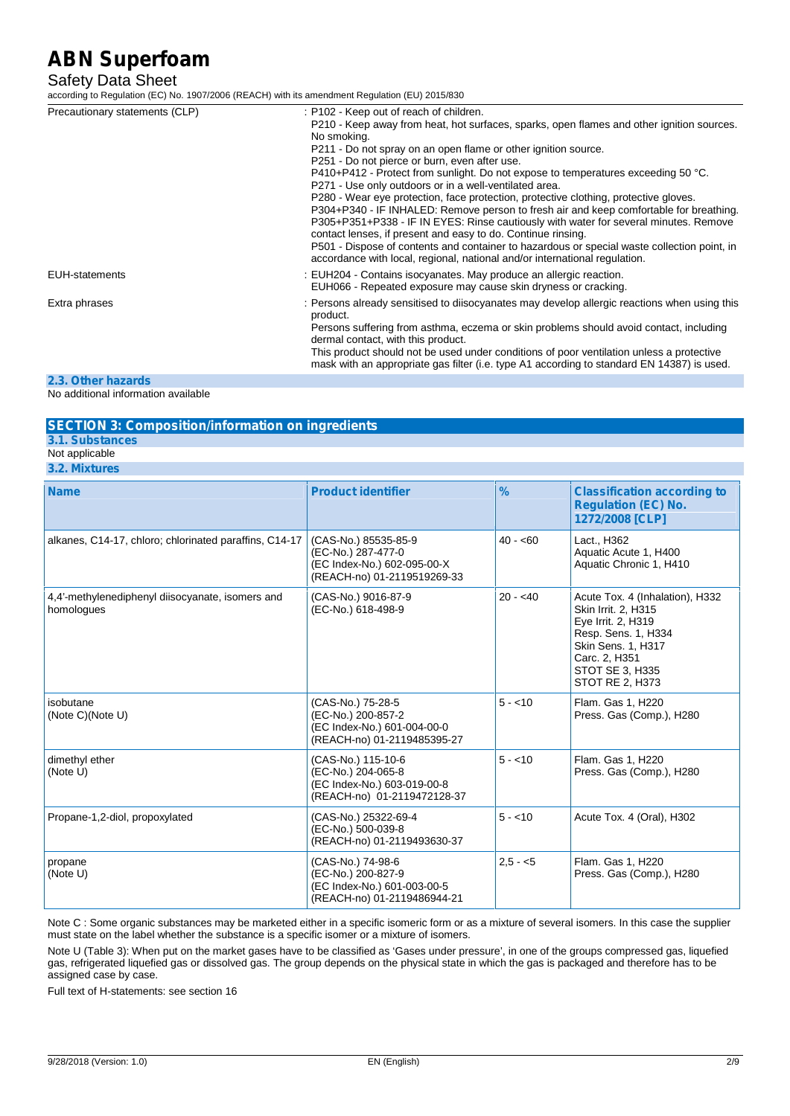### Safety Data Sheet

according to Regulation (EC) No. 1907/2006 (REACH) with its amendment Regulation (EU) 2015/830

| Precautionary statements (CLP) | : P102 - Keep out of reach of children.                                                                                                                                                                                                                                                                                                                                                                                                                                                                             |
|--------------------------------|---------------------------------------------------------------------------------------------------------------------------------------------------------------------------------------------------------------------------------------------------------------------------------------------------------------------------------------------------------------------------------------------------------------------------------------------------------------------------------------------------------------------|
|                                | P210 - Keep away from heat, hot surfaces, sparks, open flames and other ignition sources.<br>No smoking.                                                                                                                                                                                                                                                                                                                                                                                                            |
|                                | P211 - Do not spray on an open flame or other ignition source.                                                                                                                                                                                                                                                                                                                                                                                                                                                      |
|                                | P251 - Do not pierce or burn, even after use.                                                                                                                                                                                                                                                                                                                                                                                                                                                                       |
|                                | P410+P412 - Protect from sunlight. Do not expose to temperatures exceeding 50 °C.                                                                                                                                                                                                                                                                                                                                                                                                                                   |
|                                | P271 - Use only outdoors or in a well-ventilated area.                                                                                                                                                                                                                                                                                                                                                                                                                                                              |
|                                | P280 - Wear eye protection, face protection, protective clothing, protective gloves.<br>P304+P340 - IF INHALED: Remove person to fresh air and keep comfortable for breathing.<br>P305+P351+P338 - IF IN EYES: Rinse cautiously with water for several minutes. Remove<br>contact lenses, if present and easy to do. Continue rinsing.<br>P501 - Dispose of contents and container to hazardous or special waste collection point, in<br>accordance with local, regional, national and/or international regulation. |
| EUH-statements                 | : EUH204 - Contains isocyanates. May produce an allergic reaction.<br>EUH066 - Repeated exposure may cause skin dryness or cracking.                                                                                                                                                                                                                                                                                                                                                                                |
| Extra phrases                  | : Persons already sensitised to diisocyanates may develop allergic reactions when using this<br>product.                                                                                                                                                                                                                                                                                                                                                                                                            |
|                                | Persons suffering from asthma, eczema or skin problems should avoid contact, including<br>dermal contact, with this product.                                                                                                                                                                                                                                                                                                                                                                                        |
|                                | This product should not be used under conditions of poor ventilation unless a protective<br>mask with an appropriate gas filter (i.e. type A1 according to standard EN 14387) is used.                                                                                                                                                                                                                                                                                                                              |

#### **2.3. Other hazards**

No additional information available

#### **SECTION 3: Composition/information on ingredients**

#### **3.1. Substances**

- Not applicable
- **3.2. Mixtures**

| <b>Name</b>                                                    | <b>Product identifier</b>                                                                                | %         | <b>Classification according to</b><br><b>Regulation (EC) No.</b><br>1272/2008 [CLP]                                                                                              |
|----------------------------------------------------------------|----------------------------------------------------------------------------------------------------------|-----------|----------------------------------------------------------------------------------------------------------------------------------------------------------------------------------|
| alkanes, C14-17, chloro; chlorinated paraffins, C14-17         | (CAS-No.) 85535-85-9<br>(EC-No.) 287-477-0<br>(EC Index-No.) 602-095-00-X<br>(REACH-no) 01-2119519269-33 | $40 - 60$ | Lact., H362<br>Aquatic Acute 1, H400<br>Aquatic Chronic 1, H410                                                                                                                  |
| 4,4'-methylenediphenyl diisocyanate, isomers and<br>homologues | (CAS-No.) 9016-87-9<br>(EC-No.) 618-498-9                                                                | $20 - 40$ | Acute Tox. 4 (Inhalation), H332<br>Skin Irrit. 2, H315<br>Eye Irrit. 2, H319<br>Resp. Sens. 1, H334<br>Skin Sens. 1, H317<br>Carc. 2, H351<br>STOT SE 3, H335<br>STOT RE 2, H373 |
| isobutane<br>(Note C)(Note U)                                  | (CAS-No.) 75-28-5<br>(EC-No.) 200-857-2<br>(EC Index-No.) 601-004-00-0<br>(REACH-no) 01-2119485395-27    | $5 - 10$  | Flam. Gas 1, H220<br>Press. Gas (Comp.), H280                                                                                                                                    |
| dimethyl ether<br>(Note U)                                     | (CAS-No.) 115-10-6<br>(EC-No.) 204-065-8<br>(EC Index-No.) 603-019-00-8<br>(REACH-no) 01-2119472128-37   | $5 - 10$  | Flam. Gas 1, H220<br>Press. Gas (Comp.), H280                                                                                                                                    |
| Propane-1,2-diol, propoxylated                                 | (CAS-No.) 25322-69-4<br>(EC-No.) 500-039-8<br>(REACH-no) 01-2119493630-37                                | $5 - 10$  | Acute Tox. 4 (Oral), H302                                                                                                                                                        |
| propane<br>(Note U)                                            | (CAS-No.) 74-98-6<br>(EC-No.) 200-827-9<br>(EC Index-No.) 601-003-00-5<br>(REACH-no) 01-2119486944-21    | $2.5 - 5$ | Flam. Gas 1, H220<br>Press. Gas (Comp.), H280                                                                                                                                    |

Note C : Some organic substances may be marketed either in a specific isomeric form or as a mixture of several isomers. In this case the supplier must state on the label whether the substance is a specific isomer or a mixture of isomers.

Note U (Table 3): When put on the market gases have to be classified as 'Gases under pressure', in one of the groups compressed gas, liquefied gas, refrigerated liquefied gas or dissolved gas. The group depends on the physical state in which the gas is packaged and therefore has to be assigned case by case.

Full text of H-statements: see section 16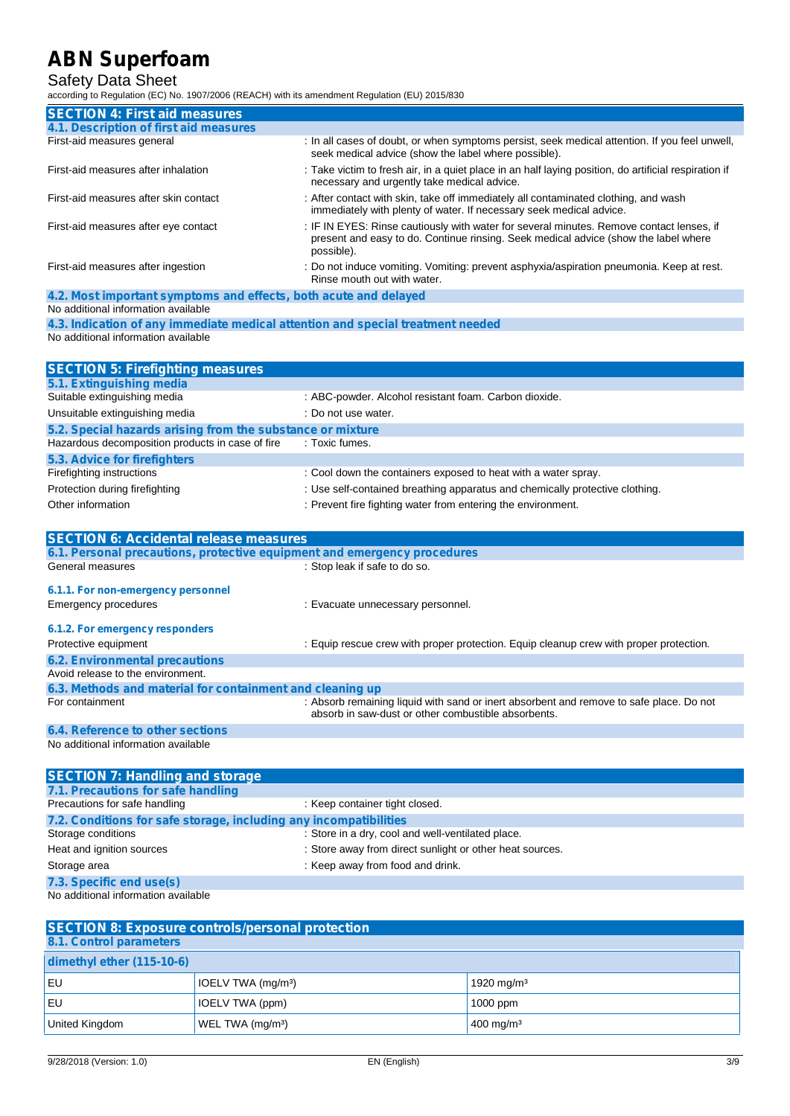### Safety Data Sheet

according to Regulation (EC) No. 1907/2006 (REACH) with its amendment Regulation (EU) 2015/830

| <b>SECTION 4: First aid measures</b>                                                                    |                                                                                                                                                                                               |
|---------------------------------------------------------------------------------------------------------|-----------------------------------------------------------------------------------------------------------------------------------------------------------------------------------------------|
| 4.1. Description of first aid measures                                                                  |                                                                                                                                                                                               |
| First-aid measures general                                                                              | : In all cases of doubt, or when symptoms persist, seek medical attention. If you feel unwell,<br>seek medical advice (show the label where possible).                                        |
| First-aid measures after inhalation                                                                     | : Take victim to fresh air, in a quiet place in an half laying position, do artificial respiration if<br>necessary and urgently take medical advice.                                          |
| First-aid measures after skin contact                                                                   | : After contact with skin, take off immediately all contaminated clothing, and wash<br>immediately with plenty of water. If necessary seek medical advice.                                    |
| First-aid measures after eye contact                                                                    | : IF IN EYES: Rinse cautiously with water for several minutes. Remove contact lenses, if<br>present and easy to do. Continue rinsing. Seek medical advice (show the label where<br>possible). |
| First-aid measures after ingestion                                                                      | : Do not induce vomiting. Vomiting: prevent asphyxia/aspiration pneumonia. Keep at rest.<br>Rinse mouth out with water.                                                                       |
| 4.2. Most important symptoms and effects, both acute and delayed<br>No additional information available |                                                                                                                                                                                               |
|                                                                                                         | 4.3. Indication of any immediate medical attention and special treatment needed                                                                                                               |
| No additional information available                                                                     |                                                                                                                                                                                               |
| <b>SECTION 5: Firefighting measures</b>                                                                 |                                                                                                                                                                                               |
| 5.1. Extinguishing media                                                                                |                                                                                                                                                                                               |
| Suitable extinguishing media                                                                            | : ABC-powder. Alcohol resistant foam. Carbon dioxide.                                                                                                                                         |
| Unsuitable extinguishing media                                                                          | : Do not use water.                                                                                                                                                                           |
| 5.2. Special hazards arising from the substance or mixture                                              |                                                                                                                                                                                               |
| Hazardous decomposition products in case of fire                                                        | : Toxic fumes.                                                                                                                                                                                |
| 5.3. Advice for firefighters                                                                            |                                                                                                                                                                                               |
| Firefighting instructions                                                                               | : Cool down the containers exposed to heat with a water spray.                                                                                                                                |
| Protection during firefighting                                                                          | : Use self-contained breathing apparatus and chemically protective clothing.                                                                                                                  |
| Other information                                                                                       | : Prevent fire fighting water from entering the environment.                                                                                                                                  |
| <b>SECTION 6: Accidental release measures</b>                                                           |                                                                                                                                                                                               |
| 6.1. Personal precautions, protective equipment and emergency procedures                                |                                                                                                                                                                                               |
| General measures                                                                                        | : Stop leak if safe to do so.                                                                                                                                                                 |
| 6.1.1. For non-emergency personnel                                                                      |                                                                                                                                                                                               |
| Emergency procedures                                                                                    | : Evacuate unnecessary personnel.                                                                                                                                                             |
|                                                                                                         |                                                                                                                                                                                               |
| 6.1.2. For emergency responders                                                                         |                                                                                                                                                                                               |
| Protective equipment                                                                                    | : Equip rescue crew with proper protection. Equip cleanup crew with proper protection.                                                                                                        |
| <b>6.2. Environmental precautions</b><br>Avoid release to the environment.                              |                                                                                                                                                                                               |
| 6.3. Methods and material for containment and cleaning up                                               |                                                                                                                                                                                               |
| For containment                                                                                         | : Absorb remaining liquid with sand or inert absorbent and remove to safe place. Do not<br>absorb in saw-dust or other combustible absorbents.                                                |
| 6.4. Reference to other sections                                                                        |                                                                                                                                                                                               |
| No additional information available                                                                     |                                                                                                                                                                                               |
| <b>SECTION 7: Handling and storage</b>                                                                  |                                                                                                                                                                                               |
| 7.1. Precautions for safe handling                                                                      |                                                                                                                                                                                               |
| Precautions for safe handling                                                                           | : Keep container tight closed.                                                                                                                                                                |
| 7.2. Conditions for safe storage, including any incompatibilities                                       |                                                                                                                                                                                               |
| Storage conditions                                                                                      | : Store in a dry, cool and well-ventilated place.                                                                                                                                             |
| Heat and ignition sources                                                                               | : Store away from direct sunlight or other heat sources.                                                                                                                                      |

Storage area **in the storage area in the storage area** : Keep away from food and drink.

**7.3. Specific end use(s)**

No additional information available

| <b>SECTION 8: Exposure controls/personal protection</b> |                                |                         |  |  |
|---------------------------------------------------------|--------------------------------|-------------------------|--|--|
| 8.1. Control parameters                                 |                                |                         |  |  |
| dimethyl ether (115-10-6)                               |                                |                         |  |  |
| ı EU                                                    | IOELV TWA (mg/m <sup>3</sup> ) | 1920 mg/m $3$           |  |  |
| . EU                                                    | IOELV TWA (ppm)                | $1000$ ppm              |  |  |
| United Kingdom                                          | WEL TWA (mg/m <sup>3</sup> )   | $400 \,\mathrm{mg/m^3}$ |  |  |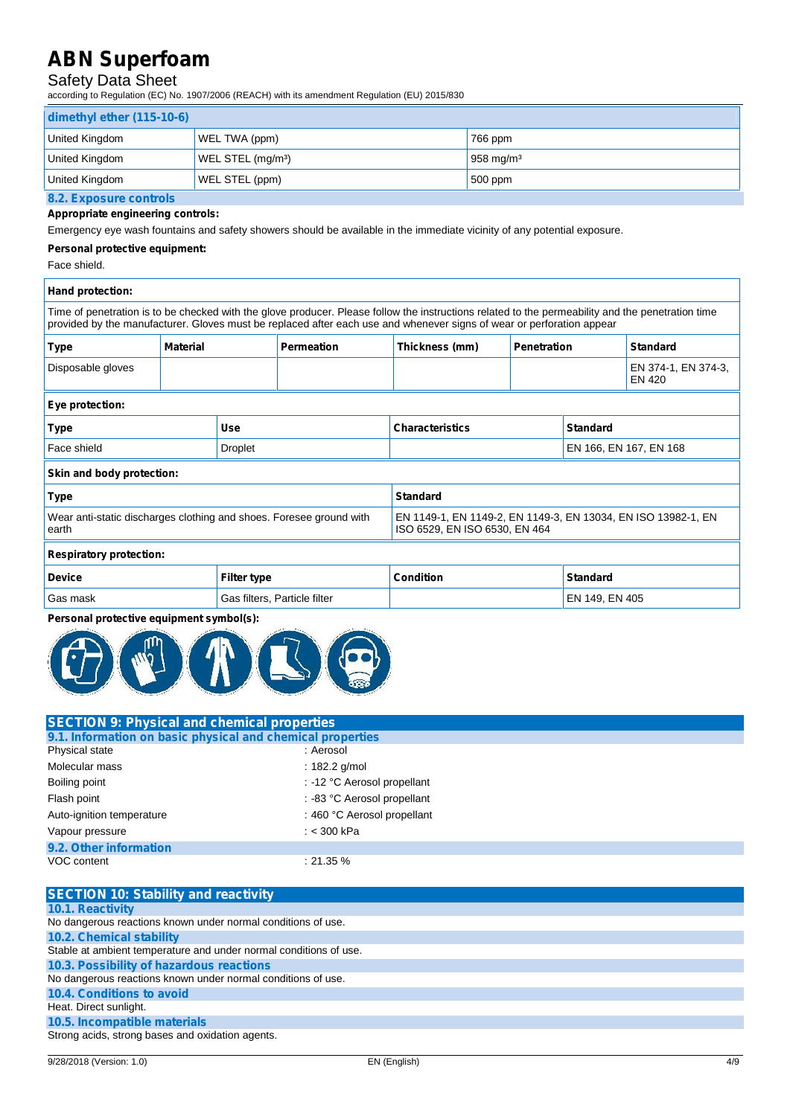### Safety Data Sheet

according to Regulation (EC) No. 1907/2006 (REACH) with its amendment Regulation (EU) 2015/830

| dimethyl ether (115-10-6) |                               |                       |  |
|---------------------------|-------------------------------|-----------------------|--|
| United Kingdom            | WEL TWA (ppm)                 | 766 ppm               |  |
| United Kingdom            | WEL STEL (mg/m <sup>3</sup> ) | 958 mg/m <sup>3</sup> |  |
| United Kingdom            | WEL STEL (ppm)                | $500$ ppm             |  |
| 8.2. Exposure controls    |                               |                       |  |

### **Appropriate engineering controls:**

Emergency eye wash fountains and safety showers should be available in the immediate vicinity of any potential exposure.

#### **Personal protective equipment:**

Face shield.

| Hand protection:                                                             |                 |                                                                                                |                                                                                                                                                                                                                                                                            |                  |                    |                 |                                      |
|------------------------------------------------------------------------------|-----------------|------------------------------------------------------------------------------------------------|----------------------------------------------------------------------------------------------------------------------------------------------------------------------------------------------------------------------------------------------------------------------------|------------------|--------------------|-----------------|--------------------------------------|
|                                                                              |                 |                                                                                                | Time of penetration is to be checked with the glove producer. Please follow the instructions related to the permeability and the penetration time<br>provided by the manufacturer. Gloves must be replaced after each use and whenever signs of wear or perforation appear |                  |                    |                 |                                      |
| <b>Type</b>                                                                  | <b>Material</b> |                                                                                                | <b>Permeation</b>                                                                                                                                                                                                                                                          | Thickness (mm)   | <b>Penetration</b> |                 | <b>Standard</b>                      |
| Disposable gloves                                                            |                 |                                                                                                |                                                                                                                                                                                                                                                                            |                  |                    |                 | EN 374-1, EN 374-3,<br><b>EN 420</b> |
| Eye protection:                                                              |                 |                                                                                                |                                                                                                                                                                                                                                                                            |                  |                    |                 |                                      |
| Use<br><b>Type</b>                                                           |                 | <b>Characteristics</b><br><b>Standard</b>                                                      |                                                                                                                                                                                                                                                                            |                  |                    |                 |                                      |
| Face shield<br><b>Droplet</b>                                                |                 |                                                                                                | EN 166, EN 167, EN 168                                                                                                                                                                                                                                                     |                  |                    |                 |                                      |
| Skin and body protection:                                                    |                 |                                                                                                |                                                                                                                                                                                                                                                                            |                  |                    |                 |                                      |
| <b>Type</b>                                                                  |                 |                                                                                                |                                                                                                                                                                                                                                                                            | <b>Standard</b>  |                    |                 |                                      |
| Wear anti-static discharges clothing and shoes. Foresee ground with<br>earth |                 | EN 1149-1, EN 1149-2, EN 1149-3, EN 13034, EN ISO 13982-1, EN<br>ISO 6529, EN ISO 6530, EN 464 |                                                                                                                                                                                                                                                                            |                  |                    |                 |                                      |
| <b>Respiratory protection:</b>                                               |                 |                                                                                                |                                                                                                                                                                                                                                                                            |                  |                    |                 |                                      |
| <b>Device</b>                                                                |                 | <b>Filter type</b>                                                                             |                                                                                                                                                                                                                                                                            | <b>Condition</b> |                    | <b>Standard</b> |                                      |

# Gas mask Gas filters, Particle filter EN 149, EN 149, EN 149, EN 1605

#### **Personal protective equipment symbol(s):**



| <b>SECTION 9: Physical and chemical properties</b>         |                             |  |
|------------------------------------------------------------|-----------------------------|--|
| 9.1. Information on basic physical and chemical properties |                             |  |
| Physical state                                             | : Aerosol                   |  |
| Molecular mass                                             | $: 182.2$ g/mol             |  |
| Boiling point                                              | : -12 °C Aerosol propellant |  |
| Flash point                                                | : -83 °C Aerosol propellant |  |
| Auto-ignition temperature                                  | : 460 °C Aerosol propellant |  |
| Vapour pressure                                            | : $<$ 300 kPa               |  |
| 9.2. Other information                                     |                             |  |
| VOC content                                                | $: 21.35 \%$                |  |

| <b>SECTION 10: Stability and reactivity</b>                       |
|-------------------------------------------------------------------|
| <b>10.1. Reactivity</b>                                           |
| No dangerous reactions known under normal conditions of use.      |
| <b>10.2. Chemical stability</b>                                   |
| Stable at ambient temperature and under normal conditions of use. |
| 10.3. Possibility of hazardous reactions                          |
| No dangerous reactions known under normal conditions of use.      |
| <b>10.4. Conditions to avoid</b>                                  |
| Heat. Direct sunlight.                                            |
| 10.5. Incompatible materials                                      |
| Strong acids, strong bases and oxidation agents.                  |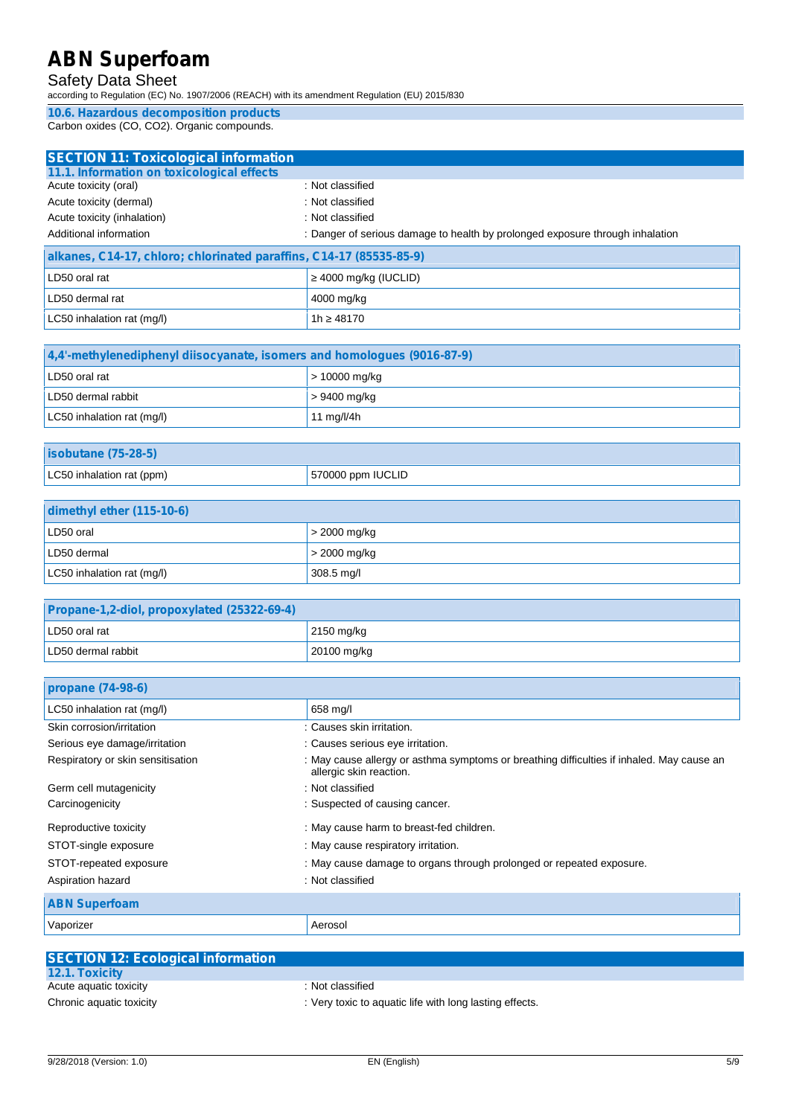### Safety Data Sheet

according to Regulation (EC) No. 1907/2006 (REACH) with its amendment Regulation (EU) 2015/830

**10.6. Hazardous decomposition products** Carbon oxides (CO, CO2). Organic compounds.

| <b>SECTION 11: Toxicological information</b>                        |                                                                               |
|---------------------------------------------------------------------|-------------------------------------------------------------------------------|
| 11.1. Information on toxicological effects                          |                                                                               |
| Acute toxicity (oral)                                               | : Not classified                                                              |
| Acute toxicity (dermal)                                             | : Not classified                                                              |
| Acute toxicity (inhalation)                                         | : Not classified                                                              |
| Additional information                                              | : Danger of serious damage to health by prolonged exposure through inhalation |
| <b>Allenger OAAAT allengedicted and accelled OAAAT (OFFOE OF O)</b> |                                                                               |

| alkanes, C14-17, chloro; chlorinated paraffins, C14-17 (85535-85-9) |                     |  |
|---------------------------------------------------------------------|---------------------|--|
| LD50 oral rat                                                       | 4000 mg/kg (IUCLID) |  |
| LD50 dermal rat                                                     | 4000 mg/kg          |  |
| LC50 inhalation rat (mg/l)                                          | 48170<br>1h         |  |

| 4.4'-methylenediphenyl diisocyanate, isomers and homologues (9016-87-9) |                 |  |
|-------------------------------------------------------------------------|-----------------|--|
| LD50 oral rat                                                           | $>$ 10000 mg/kg |  |
| LD50 dermal rabbit                                                      | > 9400 mg/kg    |  |
| LC50 inhalation rat (mg/l)                                              | 11 $mq/l/4h$    |  |

| <b>isobutane (75-28-5)</b> |                   |
|----------------------------|-------------------|
| LC50 inhalation rat (ppm)  | 570000 ppm IUCLID |

| dimethyl ether (115-10-6)  |                |  |
|----------------------------|----------------|--|
| LD50 oral                  | $>$ 2000 mg/kg |  |
| LD50 dermal                | $>$ 2000 mg/kg |  |
| LC50 inhalation rat (mg/l) | 308.5 mg/l     |  |

| Propane-1,2-diol, propoxylated (25322-69-4) |                    |
|---------------------------------------------|--------------------|
| LD50 oral rat                               | $\vert$ 2150 mg/kg |
| LD50 dermal rabbit                          | 20100 mg/kg        |

| propane (74-98-6)                 |                                                                                                                      |
|-----------------------------------|----------------------------------------------------------------------------------------------------------------------|
| LC50 inhalation rat (mg/l)        | 658 mg/l                                                                                                             |
| Skin corrosion/irritation         | : Causes skin irritation.                                                                                            |
| Serious eye damage/irritation     | : Causes serious eye irritation.                                                                                     |
| Respiratory or skin sensitisation | : May cause allergy or asthma symptoms or breathing difficulties if inhaled. May cause an<br>allergic skin reaction. |
| Germ cell mutagenicity            | : Not classified                                                                                                     |
| Carcinogenicity                   | : Suspected of causing cancer.                                                                                       |
| Reproductive toxicity             | : May cause harm to breast-fed children.                                                                             |
| STOT-single exposure              | : May cause respiratory irritation.                                                                                  |
| STOT-repeated exposure            | : May cause damage to organs through prolonged or repeated exposure.                                                 |
| Aspiration hazard                 | : Not classified                                                                                                     |
| <b>ABN Superfoam</b>              |                                                                                                                      |
| Vaporizer                         | Aerosol                                                                                                              |

| <b>SECTION 12: Ecological information</b> |                                                         |
|-------------------------------------------|---------------------------------------------------------|
| <b>12.1. Toxicity</b>                     |                                                         |
| Acute aquatic toxicity                    | : Not classified                                        |
| Chronic aquatic toxicity                  | : Very toxic to aquatic life with long lasting effects. |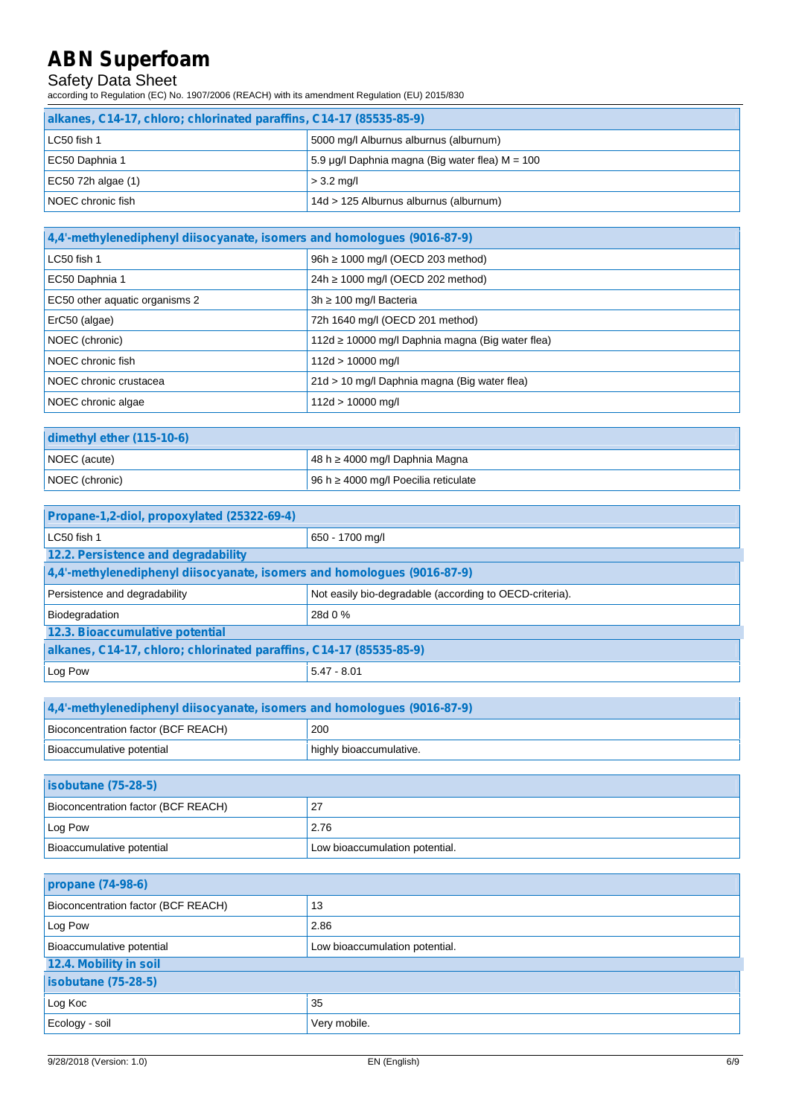### Safety Data Sheet

according to Regulation (EC) No. 1907/2006 (REACH) with its amendment Regulation (EU) 2015/830

| alkanes, C14-17, chloro; chlorinated paraffins, C14-17 (85535-85-9) |                                                 |  |
|---------------------------------------------------------------------|-------------------------------------------------|--|
| LC50 fish 1                                                         | 5000 mg/l Alburnus alburnus (alburnum)          |  |
| EC50 Daphnia 1                                                      | 5.9 µg/l Daphnia magna (Big water flea) M = 100 |  |
| EC50 72h algae (1)                                                  | $>$ 3.2 mg/l                                    |  |
| NOEC chronic fish                                                   | 14d > 125 Alburnus alburnus (alburnum)          |  |

| 4,4'-methylenediphenyl diisocyanate, isomers and homologues (9016-87-9) |                                                   |
|-------------------------------------------------------------------------|---------------------------------------------------|
| LC50 fish 1                                                             | 1000 mg/l (OECD 203 method)<br>96h                |
| EC50 Daphnia 1                                                          | 1000 mg/l (OECD 202 method)<br>24h                |
| EC50 other aquatic organisms 2                                          | 100 mg/l Bacteria<br>3h                           |
| ErC50 (algae)                                                           | 72h 1640 mg/l (OECD 201 method)                   |
| NOEC (chronic)                                                          | 10000 mg/l Daphnia magna (Big water flea)<br>112d |
| NOEC chronic fish                                                       | $112d > 10000$ mg/l                               |
| NOEC chronic crustacea                                                  | 21d > 10 mg/l Daphnia magna (Big water flea)      |
| NOEC chronic algae                                                      | $112d > 10000$ mg/l                               |

| dimethyl ether (115-10-6) |  |                                    |
|---------------------------|--|------------------------------------|
| NOEC (acute)              |  | 48 h 4000 mg/l Daphnia Magna       |
| NOEC (chronic)            |  | 96 h 4000 mg/l Poecilia reticulate |

| Propane-1,2-diol, propoxylated (25322-69-4)                             |                                                         |  |
|-------------------------------------------------------------------------|---------------------------------------------------------|--|
| $LC50$ fish 1                                                           | 650 - 1700 mg/l                                         |  |
| 12.2. Persistence and degradability                                     |                                                         |  |
| 4,4'-methylenediphenyl diisocyanate, isomers and homologues (9016-87-9) |                                                         |  |
| Persistence and degradability                                           | Not easily bio-degradable (according to OECD-criteria). |  |
| Biodegradation                                                          | 28d 0 %                                                 |  |
| 12.3. Bioaccumulative potential                                         |                                                         |  |
| alkanes, C14-17, chloro; chlorinated paraffins, C14-17 (85535-85-9)     |                                                         |  |
| Log Pow                                                                 | $5.47 - 8.01$                                           |  |

| 4.4'-methylenediphenyl diisocyanate, isomers and homologues (9016-87-9) |                         |
|-------------------------------------------------------------------------|-------------------------|
| Bioconcentration factor (BCF REACH)                                     | 200                     |
| Bioaccumulative potential                                               | highly bioaccumulative. |

| $isobutane (75-28-5)$               |                                |
|-------------------------------------|--------------------------------|
| Bioconcentration factor (BCF REACH) | 27                             |
| Log Pow                             | 2.76                           |
| Bioaccumulative potential           | Low bioaccumulation potential. |

| propane (74-98-6)                   |                                |  |
|-------------------------------------|--------------------------------|--|
| Bioconcentration factor (BCF REACH) | 13                             |  |
| Log Pow                             | 2.86                           |  |
| Bioaccumulative potential           | Low bioaccumulation potential. |  |
| 12.4. Mobility in soil              |                                |  |
| <b>isobutane (75-28-5)</b>          |                                |  |
| Log Koc                             | 35                             |  |
| Ecology - soil                      | Very mobile.                   |  |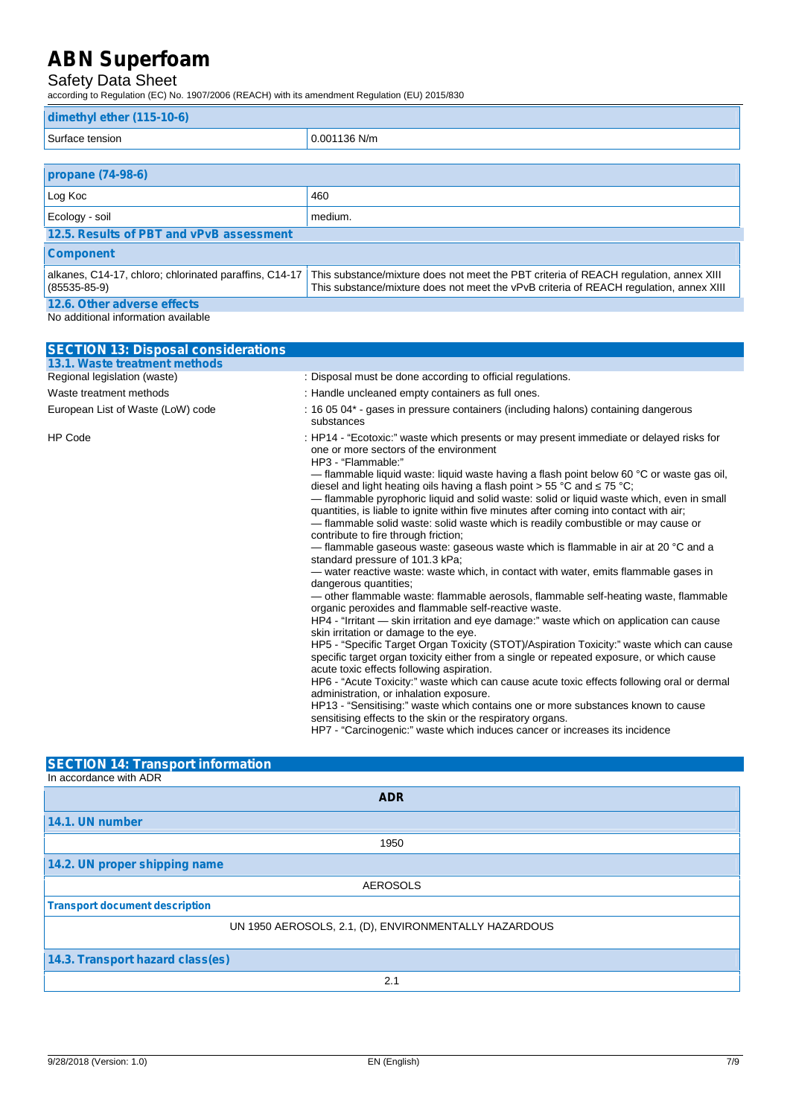### Safety Data Sheet

according to Regulation (EC) No. 1907/2006 (REACH) with its amendment Regulation (EU) 2015/830

| dimethyl ether (115-10-6)                                                |                                                                                                                                                                                 |  |  |
|--------------------------------------------------------------------------|---------------------------------------------------------------------------------------------------------------------------------------------------------------------------------|--|--|
| Surface tension                                                          | 0.001136 N/m                                                                                                                                                                    |  |  |
|                                                                          |                                                                                                                                                                                 |  |  |
| propane (74-98-6)                                                        |                                                                                                                                                                                 |  |  |
| Log Koc                                                                  | 460                                                                                                                                                                             |  |  |
| Ecology - soil                                                           | medium.                                                                                                                                                                         |  |  |
| 12.5. Results of PBT and vPvB assessment                                 |                                                                                                                                                                                 |  |  |
| <b>Component</b>                                                         |                                                                                                                                                                                 |  |  |
| alkanes, C14-17, chloro; chlorinated paraffins, C14-17<br>$(85535-85-9)$ | This substance/mixture does not meet the PBT criteria of REACH regulation, annex XIII<br>This substance/mixture does not meet the vPvB criteria of REACH requlation, annex XIII |  |  |
| 12.6. Other adverse effects                                              |                                                                                                                                                                                 |  |  |

No additional information available

| <b>SECTION 13: Disposal considerations</b>                                                                                            |                                                                                                                                                                                                                                                                                                                                                                                                                                                                                           |  |  |  |
|---------------------------------------------------------------------------------------------------------------------------------------|-------------------------------------------------------------------------------------------------------------------------------------------------------------------------------------------------------------------------------------------------------------------------------------------------------------------------------------------------------------------------------------------------------------------------------------------------------------------------------------------|--|--|--|
| 13.1. Waste treatment methods                                                                                                         |                                                                                                                                                                                                                                                                                                                                                                                                                                                                                           |  |  |  |
| Regional legislation (waste)                                                                                                          | : Disposal must be done according to official regulations.                                                                                                                                                                                                                                                                                                                                                                                                                                |  |  |  |
| Waste treatment methods                                                                                                               | : Handle uncleaned empty containers as full ones.                                                                                                                                                                                                                                                                                                                                                                                                                                         |  |  |  |
| European List of Waste (LoW) code<br>: 16 05 04* - gases in pressure containers (including halons) containing dangerous<br>substances |                                                                                                                                                                                                                                                                                                                                                                                                                                                                                           |  |  |  |
| <b>HP Code</b>                                                                                                                        | : HP14 - "Ecotoxic:" waste which presents or may present immediate or delayed risks for<br>one or more sectors of the environment<br>HP3 - "Flammable:"                                                                                                                                                                                                                                                                                                                                   |  |  |  |
|                                                                                                                                       | — flammable liquid waste: liquid waste having a flash point below 60 °C or waste gas oil,<br>diesel and light heating oils having a flash point $> 55$ °C and 75 °C;<br>- flammable pyrophoric liquid and solid waste: solid or liquid waste which, even in small<br>quantities, is liable to ignite within five minutes after coming into contact with air;<br>- flammable solid waste: solid waste which is readily combustible or may cause or<br>contribute to fire through friction; |  |  |  |
|                                                                                                                                       | — flammable gaseous waste: gaseous waste which is flammable in air at 20 °C and a<br>standard pressure of 101.3 kPa;                                                                                                                                                                                                                                                                                                                                                                      |  |  |  |
|                                                                                                                                       | — water reactive waste: waste which, in contact with water, emits flammable gases in<br>dangerous quantities;                                                                                                                                                                                                                                                                                                                                                                             |  |  |  |
|                                                                                                                                       | - other flammable waste: flammable aerosols, flammable self-heating waste, flammable<br>organic peroxides and flammable self-reactive waste.                                                                                                                                                                                                                                                                                                                                              |  |  |  |
|                                                                                                                                       | HP4 - "Irritant — skin irritation and eye damage:" waste which on application can cause<br>skin irritation or damage to the eye.                                                                                                                                                                                                                                                                                                                                                          |  |  |  |
|                                                                                                                                       | HP5 - "Specific Target Organ Toxicity (STOT)/Aspiration Toxicity:" waste which can cause<br>specific target organ toxicity either from a single or repeated exposure, or which cause<br>acute toxic effects following aspiration.                                                                                                                                                                                                                                                         |  |  |  |
|                                                                                                                                       | HP6 - "Acute Toxicity:" waste which can cause acute toxic effects following oral or dermal<br>administration, or inhalation exposure.                                                                                                                                                                                                                                                                                                                                                     |  |  |  |
|                                                                                                                                       | HP13 - "Sensitising:" waste which contains one or more substances known to cause<br>sensitising effects to the skin or the respiratory organs.                                                                                                                                                                                                                                                                                                                                            |  |  |  |
|                                                                                                                                       | HP7 - "Carcinogenic:" waste which induces cancer or increases its incidence                                                                                                                                                                                                                                                                                                                                                                                                               |  |  |  |

### **SECTION 14: Transport information**

| In accordance with ADR                                |
|-------------------------------------------------------|
| <b>ADR</b>                                            |
| 14.1. UN number                                       |
| 1950                                                  |
| 14.2. UN proper shipping name                         |
| <b>AEROSOLS</b>                                       |
| <b>Transport document description</b>                 |
| UN 1950 AEROSOLS, 2.1, (D), ENVIRONMENTALLY HAZARDOUS |
| 14.3. Transport hazard class(es)                      |
| 2.1                                                   |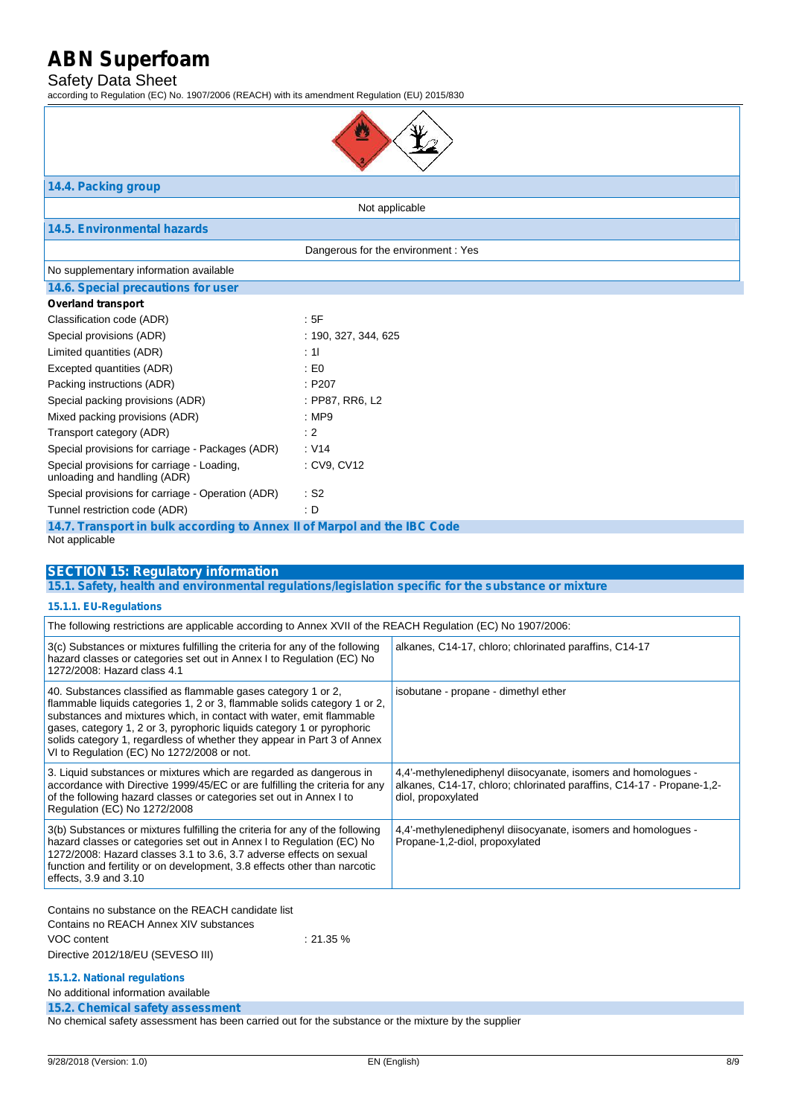#### Safety Data Sheet

according to Regulation (EC) No. 1907/2006 (REACH) with its amendment Regulation (EU) 2015/830



### **14.4. Packing group**

Not applicable

### **14.5. Environmental hazards**

Dangerous for the environment : Yes

#### No supplementary information available

|  | 14.6. Special precautions for user |  |
|--|------------------------------------|--|
|--|------------------------------------|--|

| <b>Overland transport</b>                                                  |                      |
|----------------------------------------------------------------------------|----------------------|
| Classification code (ADR)                                                  | : 5F                 |
| Special provisions (ADR)                                                   | : 190, 327, 344, 625 |
| Limited quantities (ADR)                                                   | : 11                 |
| Excepted quantities (ADR)                                                  | : E0                 |
| Packing instructions (ADR)                                                 | : P207               |
| Special packing provisions (ADR)                                           | : PP87, RR6, L2      |
| Mixed packing provisions (ADR)                                             | : $MP9$              |
| Transport category (ADR)                                                   | : 2                  |
| Special provisions for carriage - Packages (ADR)                           | : V14                |
| Special provisions for carriage - Loading,<br>unloading and handling (ADR) | : CV9. CV12          |
| Special provisions for carriage - Operation (ADR)                          | : S2                 |
| Tunnel restriction code (ADR)                                              | : D                  |
|                                                                            |                      |

| 14.7. Transport in bulk according to Annex II of Marpol and the IBC Code |  |  |  |  |
|--------------------------------------------------------------------------|--|--|--|--|
| Not applicable                                                           |  |  |  |  |

#### **SECTION 15: Regulatory information**

**15.1. Safety, health and environmental regulations/legislation specific for the substance or mixture**

#### **15.1.1. EU-Regulations**

| The following restrictions are applicable according to Annex XVII of the REACH Regulation (EC) No 1907/2006:                                                                                                                                                                                                                                                                                                          |                                                                                                                                                              |  |  |
|-----------------------------------------------------------------------------------------------------------------------------------------------------------------------------------------------------------------------------------------------------------------------------------------------------------------------------------------------------------------------------------------------------------------------|--------------------------------------------------------------------------------------------------------------------------------------------------------------|--|--|
| 3(c) Substances or mixtures fulfilling the criteria for any of the following<br>hazard classes or categories set out in Annex I to Regulation (EC) No<br>1272/2008: Hazard class 4.1                                                                                                                                                                                                                                  | alkanes, C14-17, chloro; chlorinated paraffins, C14-17                                                                                                       |  |  |
| 40. Substances classified as flammable gases category 1 or 2,<br>flammable liquids categories 1, 2 or 3, flammable solids category 1 or 2,<br>substances and mixtures which, in contact with water, emit flammable<br>gases, category 1, 2 or 3, pyrophoric liquids category 1 or pyrophoric<br>solids category 1, regardless of whether they appear in Part 3 of Annex<br>VI to Regulation (EC) No 1272/2008 or not. | isobutane - propane - dimethyl ether                                                                                                                         |  |  |
| 3. Liquid substances or mixtures which are regarded as dangerous in<br>accordance with Directive 1999/45/EC or are fulfilling the criteria for any<br>of the following hazard classes or categories set out in Annex I to<br>Regulation (EC) No 1272/2008                                                                                                                                                             | 4,4'-methylenediphenyl diisocyanate, isomers and homologues -<br>alkanes, C14-17, chloro; chlorinated paraffins, C14-17 - Propane-1,2-<br>diol, propoxylated |  |  |
| 3(b) Substances or mixtures fulfilling the criteria for any of the following<br>hazard classes or categories set out in Annex I to Regulation (EC) No<br>1272/2008: Hazard classes 3.1 to 3.6, 3.7 adverse effects on sexual<br>function and fertility or on development, 3.8 effects other than narcotic<br>effects, $3.9$ and $3.10$                                                                                | 4,4'-methylenediphenyl diisocyanate, isomers and homologues -<br>Propane-1,2-diol, propoxylated                                                              |  |  |
| Contains no substance on the REACH candidate list<br>Contains no REACH Annex XIV substances                                                                                                                                                                                                                                                                                                                           |                                                                                                                                                              |  |  |

VOC content : 21.35 % Directive 2012/18/EU (SEVESO III)

### **15.1.2. National regulations**

No additional information available

**15.2. Chemical safety assessment**

No chemical safety assessment has been carried out for the substance or the mixture by the supplier